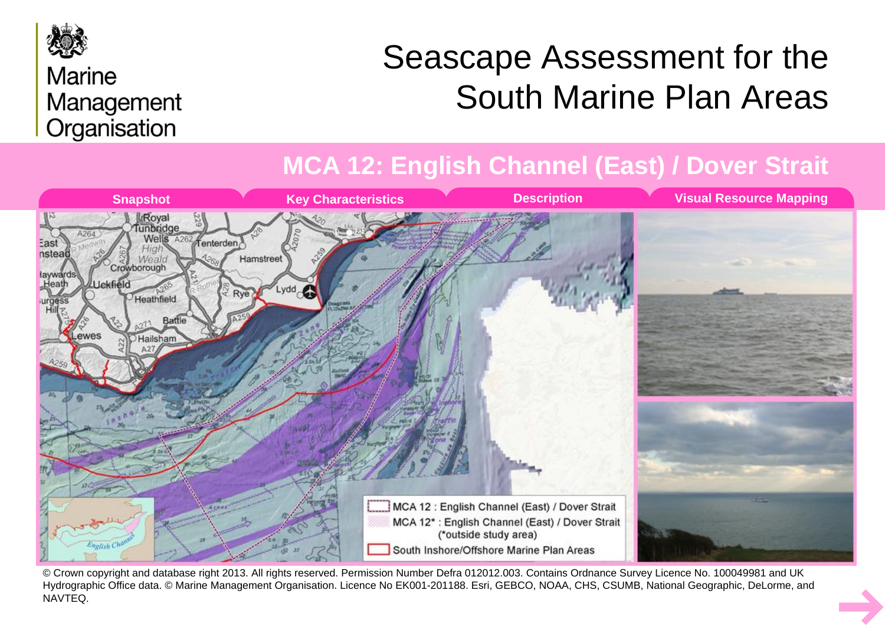

#### **Marine** Management Organisation

# Seascape Assessment for the South Marine Plan Areas

#### **MCA 12: English Channel (East) / Dover Strait**



© Crown copyright and database right 2013. All rights reserved. Permission Number Defra 012012.003. Contains Ordnance Survey Licence No. 100049981 and UK Hydrographic Office data. © Marine Management Organisation. Licence No EK001-201188. Esri, GEBCO, NOAA, CHS, CSUMB, National Geographic, DeLorme, and NAVTEQ.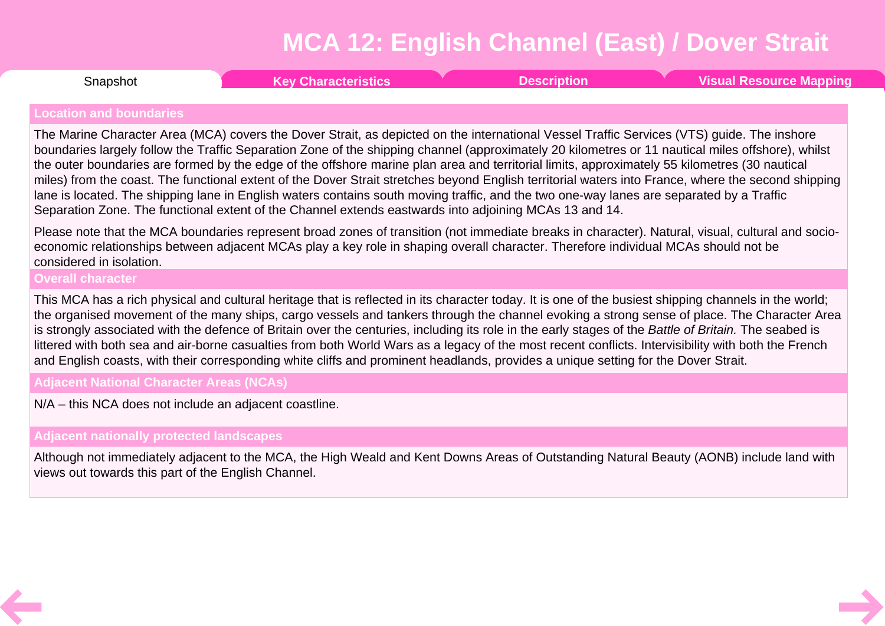<span id="page-1-0"></span>**Snapshot** 

Snapshot **Key [Characteristics](#page-2-0) [Description](#page-3-0) Visual [Resource](#page-6-0) Mapping**

#### **Location and boundaries**

The Marine Character Area (MCA) covers the Dover Strait, as depicted on the international Vessel Traffic Services (VTS) guide. The inshore boundaries largely follow the Traffic Separation Zone of the shipping channel (approximately 20 kilometres or 11 nautical miles offshore), whilst the outer boundaries are formed by the edge of the offshore marine plan area and territorial limits, approximately 55 kilometres (30 nautical miles) from the coast. The functional extent of the Dover Strait stretches beyond English territorial waters into France, where the second shipping lane is located. The shipping lane in English waters contains south moving traffic, and the two one-way lanes are separated by a Traffic Separation Zone. The functional extent of the Channel extends eastwards into adjoining MCAs 13 and 14.

Please note that the MCA boundaries represent broad zones of transition (not immediate breaks in character). Natural, visual, cultural and socio economic relationships between adjacent MCAs play a key role in shaping overall character. Therefore individual MCAs should not be considered in isolation.

**Overall character**

This MCA has a rich physical and cultural heritage that is reflected in its character today. It is one of the busiest shipping channels in the world; the organised movement of the many ships, cargo vessels and tankers through the channel evoking a strong sense of place. The Character Area is strongly associated with the defence of Britain over the centuries, including its role in the early stages of the *Battle of Britain.* The seabed is littered with both sea and air-borne casualties from both World Wars as a legacy of the most recent conflicts. Intervisibility with both the French and English coasts, with their corresponding white cliffs and prominent headlands, provides a unique setting for the Dover Strait.

**Adjacent National Character Areas (NCAs)**

N/A – this NCA does not include an adjacent coastline.

**Adjacent nationally protected landscapes**

Although not immediately adjacent to the MCA, the High Weald and Kent Downs Areas of Outstanding Natural Beauty (AONB) include land with views out towards this part of the English Channel.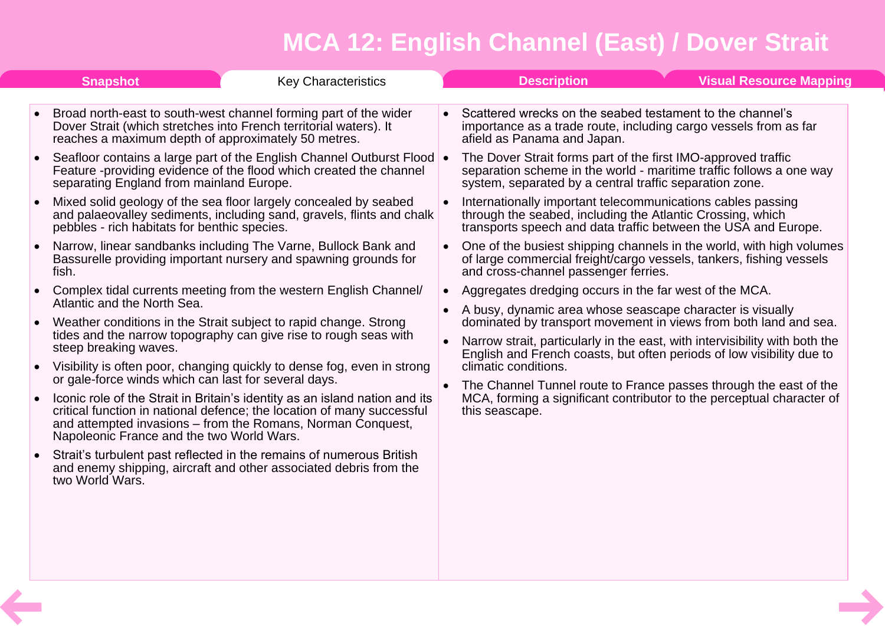<span id="page-2-0"></span>

|           | <b>Snapshot</b><br><b>Key Characteristics</b>                                                                                                                                                                                                                     |           | <b>Description</b>                                                                                                                                                                                                                                                                                                                                                                                                                                                            |  | <b>Visual Resource Mapping</b> |  |
|-----------|-------------------------------------------------------------------------------------------------------------------------------------------------------------------------------------------------------------------------------------------------------------------|-----------|-------------------------------------------------------------------------------------------------------------------------------------------------------------------------------------------------------------------------------------------------------------------------------------------------------------------------------------------------------------------------------------------------------------------------------------------------------------------------------|--|--------------------------------|--|
|           | Broad north-east to south-west channel forming part of the wider<br>Dover Strait (which stretches into French territorial waters). It<br>reaches a maximum depth of approximately 50 metres.                                                                      |           | Scattered wrecks on the seabed testament to the channel's<br>importance as a trade route, including cargo vessels from as far<br>afield as Panama and Japan.                                                                                                                                                                                                                                                                                                                  |  |                                |  |
|           | Seafloor contains a large part of the English Channel Outburst Flood .<br>Feature -providing evidence of the flood which created the channel<br>separating England from mainland Europe.                                                                          |           | The Dover Strait forms part of the first IMO-approved traffic<br>separation scheme in the world - maritime traffic follows a one way<br>system, separated by a central traffic separation zone.                                                                                                                                                                                                                                                                               |  |                                |  |
|           | Mixed solid geology of the sea floor largely concealed by seabed<br>and palaeovalley sediments, including sand, gravels, flints and chalk<br>pebbles - rich habitats for benthic species.                                                                         |           | Internationally important telecommunications cables passing<br>through the seabed, including the Atlantic Crossing, which<br>transports speech and data traffic between the USA and Europe.                                                                                                                                                                                                                                                                                   |  |                                |  |
|           | Narrow, linear sandbanks including The Varne, Bullock Bank and<br>Bassurelle providing important nursery and spawning grounds for<br>fish.                                                                                                                        | $\bullet$ | One of the busiest shipping channels in the world, with high volumes<br>of large commercial freight/cargo vessels, tankers, fishing vessels<br>and cross-channel passenger ferries.                                                                                                                                                                                                                                                                                           |  |                                |  |
|           | Complex tidal currents meeting from the western English Channel/<br>Atlantic and the North Sea.                                                                                                                                                                   |           | Aggregates dredging occurs in the far west of the MCA.                                                                                                                                                                                                                                                                                                                                                                                                                        |  |                                |  |
|           | Weather conditions in the Strait subject to rapid change. Strong<br>tides and the narrow topography can give rise to rough seas with<br>steep breaking waves.                                                                                                     | $\bullet$ | A busy, dynamic area whose seascape character is visually<br>dominated by transport movement in views from both land and sea.<br>Narrow strait, particularly in the east, with intervisibility with both the<br>English and French coasts, but often periods of low visibility due to<br>climatic conditions.<br>The Channel Tunnel route to France passes through the east of the<br>MCA, forming a significant contributor to the perceptual character of<br>this seascape. |  |                                |  |
| $\bullet$ | Visibility is often poor, changing quickly to dense fog, even in strong<br>or gale-force winds which can last for several days.                                                                                                                                   |           |                                                                                                                                                                                                                                                                                                                                                                                                                                                                               |  |                                |  |
|           | Iconic role of the Strait in Britain's identity as an island nation and its<br>critical function in national defence; the location of many successful<br>and attempted invasions – from the Romans, Norman Conquest,<br>Napoleonic France and the two World Wars. |           |                                                                                                                                                                                                                                                                                                                                                                                                                                                                               |  |                                |  |
|           | Strait's turbulent past reflected in the remains of numerous British<br>and enemy shipping, aircraft and other associated debris from the<br>two World Wars.                                                                                                      |           |                                                                                                                                                                                                                                                                                                                                                                                                                                                                               |  |                                |  |
|           |                                                                                                                                                                                                                                                                   |           |                                                                                                                                                                                                                                                                                                                                                                                                                                                                               |  |                                |  |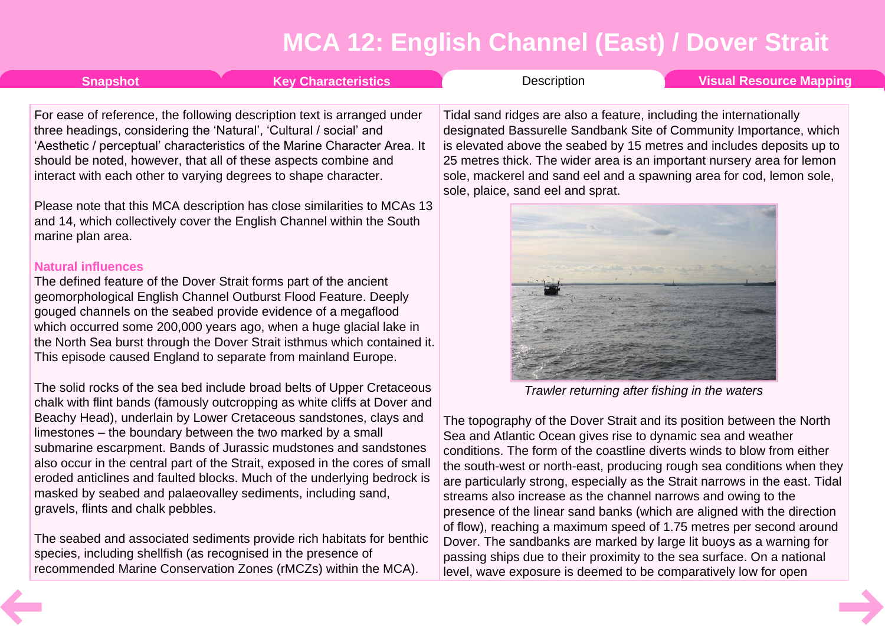<span id="page-3-0"></span>

| <b>Snapshot</b> | <b>Key Characteristics</b>                                                                                                                    | Description                                                                                                                               | Visual Resource Mapping |  |
|-----------------|-----------------------------------------------------------------------------------------------------------------------------------------------|-------------------------------------------------------------------------------------------------------------------------------------------|-------------------------|--|
|                 | For ease of reference, the following description text is arranged under<br>three headings, considering the 'Natural', 'Cultural / social' and | Tidal sand ridges are also a feature, including the internationally<br>designated Bassurelle Sandbank Site of Community Importance, which |                         |  |

three headings, considering the 'Natural', 'Cultural 'Aesthetic / perceptual' characteristics of the Marine Character Area. It should be noted, however, that all of these aspects combine and interact with each other to varying degrees to shape character.

Please note that this MCA description has close similarities to MCAs 13 and 14, which collectively cover the English Channel within the South marine plan area.

#### **Natural influences**

The defined feature of the Dover Strait forms part of the ancient geomorphological English Channel Outburst Flood Feature. Deeply gouged channels on the seabed provide evidence of a megaflood which occurred some 200,000 years ago, when a huge glacial lake in the North Sea burst through the Dover Strait isthmus which contained it. This episode caused England to separate from mainland Europe.

The solid rocks of the sea bed include broad belts of Upper Cretaceous chalk with flint bands (famously outcropping as white cliffs at Dover and Beachy Head), underlain by Lower Cretaceous sandstones, clays and limestones – the boundary between the two marked by a small submarine escarpment. Bands of Jurassic mudstones and sandstones also occur in the central part of the Strait, exposed in the cores of small eroded anticlines and faulted blocks. Much of the underlying bedrock is masked by seabed and palaeovalley sediments, including sand, gravels, flints and chalk pebbles.

The seabed and associated sediments provide rich habitats for benthic species, including shellfish (as recognised in the presence of recommended Marine Conservation Zones (rMCZs) within the MCA).

designated Bassurelle Sandbank Site of Community Importance, which is elevated above the seabed by 15 metres and includes deposits up to 25 metres thick. The wider area is an important nursery area for lemon sole, mackerel and sand eel and a spawning area for cod, lemon sole, sole, plaice, sand eel and sprat.



*Trawler returning after fishing in the waters*

The topography of the Dover Strait and its position between the North Sea and Atlantic Ocean gives rise to dynamic sea and weather conditions. The form of the coastline diverts winds to blow from either the south-west or north-east, producing rough sea conditions when they are particularly strong, especially as the Strait narrows in the east. Tidal streams also increase as the channel narrows and owing to the presence of the linear sand banks (which are aligned with the direction of flow), reaching a maximum speed of 1.75 metres per second around Dover. The sandbanks are marked by large lit buoys as a warning for passing ships due to their proximity to the sea surface. On a national level, wave exposure is deemed to be comparatively low for open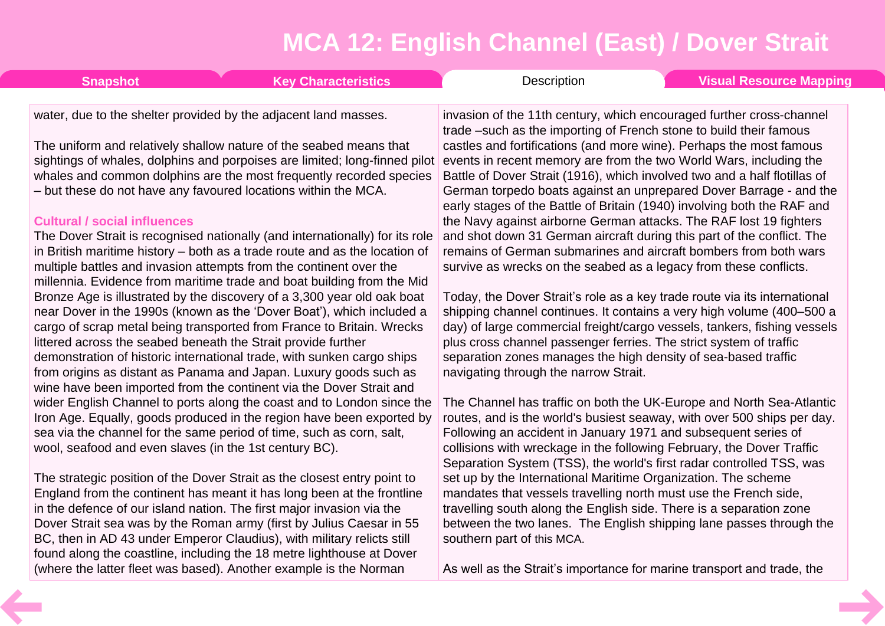| <b>Key Characteristics</b><br><b>Snapshot</b>                                                                                                     | Description<br><b>Visual Resource Mapping</b>                                                                                                   |
|---------------------------------------------------------------------------------------------------------------------------------------------------|-------------------------------------------------------------------------------------------------------------------------------------------------|
| water, due to the shelter provided by the adjacent land masses.                                                                                   | invasion of the 11th century, which encouraged further cross-channel                                                                            |
|                                                                                                                                                   | trade –such as the importing of French stone to build their famous                                                                              |
| The uniform and relatively shallow nature of the seabed means that<br>sightings of whales, dolphins and porpoises are limited; long-finned pilot  | castles and fortifications (and more wine). Perhaps the most famous<br>events in recent memory are from the two World Wars, including the       |
| whales and common dolphins are the most frequently recorded species                                                                               | Battle of Dover Strait (1916), which involved two and a half flotillas of                                                                       |
| - but these do not have any favoured locations within the MCA.                                                                                    | German torpedo boats against an unprepared Dover Barrage - and the                                                                              |
| <b>Cultural / social influences</b>                                                                                                               | early stages of the Battle of Britain (1940) involving both the RAF and<br>the Navy against airborne German attacks. The RAF lost 19 fighters   |
| The Dover Strait is recognised nationally (and internationally) for its role                                                                      | and shot down 31 German aircraft during this part of the conflict. The                                                                          |
| in British maritime history – both as a trade route and as the location of                                                                        | remains of German submarines and aircraft bombers from both wars                                                                                |
| multiple battles and invasion attempts from the continent over the                                                                                | survive as wrecks on the seabed as a legacy from these conflicts.                                                                               |
| millennia. Evidence from maritime trade and boat building from the Mid<br>Bronze Age is illustrated by the discovery of a 3,300 year old oak boat | Today, the Dover Strait's role as a key trade route via its international                                                                       |
| near Dover in the 1990s (known as the 'Dover Boat'), which included a                                                                             | shipping channel continues. It contains a very high volume (400-500 a                                                                           |
| cargo of scrap metal being transported from France to Britain. Wrecks                                                                             | day) of large commercial freight/cargo vessels, tankers, fishing vessels                                                                        |
| littered across the seabed beneath the Strait provide further<br>demonstration of historic international trade, with sunken cargo ships           | plus cross channel passenger ferries. The strict system of traffic<br>separation zones manages the high density of sea-based traffic            |
| from origins as distant as Panama and Japan. Luxury goods such as                                                                                 | navigating through the narrow Strait.                                                                                                           |
| wine have been imported from the continent via the Dover Strait and                                                                               |                                                                                                                                                 |
| wider English Channel to ports along the coast and to London since the<br>Iron Age. Equally, goods produced in the region have been exported by   | The Channel has traffic on both the UK-Europe and North Sea-Atlantic<br>routes, and is the world's busiest seaway, with over 500 ships per day. |
| sea via the channel for the same period of time, such as corn, salt,                                                                              | Following an accident in January 1971 and subsequent series of                                                                                  |
| wool, seafood and even slaves (in the 1st century BC).                                                                                            | collisions with wreckage in the following February, the Dover Traffic                                                                           |

The strategic position of the Dover Strait as the closest entry point to England from the continent has meant it has long been at the frontline in the defence of our island nation. The first major invasion via the Dover Strait sea was by the Roman army (first by Julius Caesar in 55 BC, then in AD 43 under Emperor Claudius), with military relicts still found along the coastline, including the 18 metre lighthouse at Dover (where the latter fleet was based). Another example is the Norman

As well as the Strait's importance for marine transport and trade, the

Separation System (TSS), the world's first radar controlled TSS, was

set up by the International Maritime Organization. The scheme mandates that vessels travelling north must use the French side, travelling south along the English side. There is a separation zone between the two lanes. The English shipping lane passes through the

southern part of this MCA.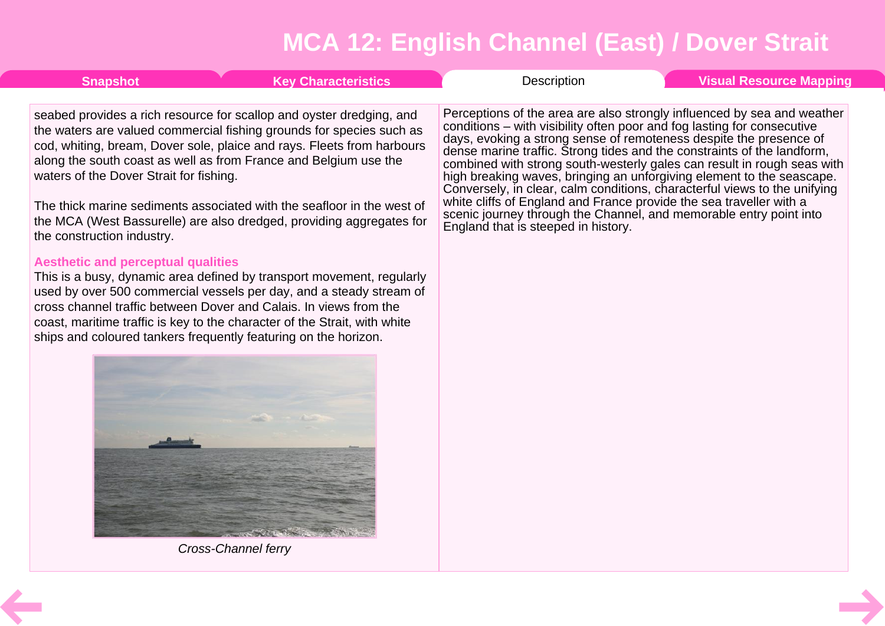<span id="page-5-0"></span>

| <b>Snapshot</b>                                                                                                                                                                       | <b>Key Characteristics</b>                                                                                                                                                                                                                                                                                                                                                                                                                                                                                                                                                                                                                                                                                                                                                   | Description                                                                                                                                                                                                                                                                                                                                                                                                                                                                                                                                                                                                                                                                                                              | <b>Visual Resource Mapping</b> |
|---------------------------------------------------------------------------------------------------------------------------------------------------------------------------------------|------------------------------------------------------------------------------------------------------------------------------------------------------------------------------------------------------------------------------------------------------------------------------------------------------------------------------------------------------------------------------------------------------------------------------------------------------------------------------------------------------------------------------------------------------------------------------------------------------------------------------------------------------------------------------------------------------------------------------------------------------------------------------|--------------------------------------------------------------------------------------------------------------------------------------------------------------------------------------------------------------------------------------------------------------------------------------------------------------------------------------------------------------------------------------------------------------------------------------------------------------------------------------------------------------------------------------------------------------------------------------------------------------------------------------------------------------------------------------------------------------------------|--------------------------------|
| waters of the Dover Strait for fishing.<br>the construction industry.<br><b>Aesthetic and perceptual qualities</b><br>ships and coloured tankers frequently featuring on the horizon. | seabed provides a rich resource for scallop and oyster dredging, and<br>the waters are valued commercial fishing grounds for species such as<br>cod, whiting, bream, Dover sole, plaice and rays. Fleets from harbours<br>along the south coast as well as from France and Belgium use the<br>The thick marine sediments associated with the seafloor in the west of<br>the MCA (West Bassurelle) are also dredged, providing aggregates for<br>This is a busy, dynamic area defined by transport movement, regularly<br>used by over 500 commercial vessels per day, and a steady stream of<br>cross channel traffic between Dover and Calais. In views from the<br>coast, maritime traffic is key to the character of the Strait, with white<br><b>Cross-Channel ferry</b> | Perceptions of the area are also strongly influenced by sea and weather<br>conditions – with visibility often poor and fog lasting for consecutive<br>days, evoking a strong sense of remoteness despite the presence of<br>dense marine traffic. Strong tides and the constraints of the landform,<br>combined with strong south-westerly gales can result in rough seas with<br>high breaking waves, bringing an unforgiving element to the seascape.<br>Conversely, in clear, calm conditions, characterful views to the unifying<br>white cliffs of England and France provide the sea traveller with a<br>scenic journey through the Channel, and memorable entry point into<br>England that is steeped in history. |                                |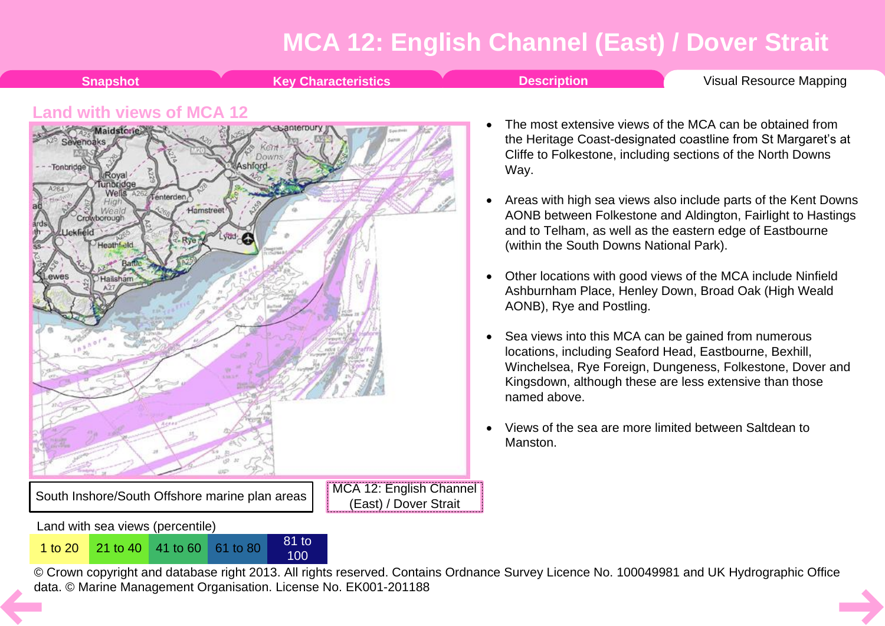<span id="page-6-0"></span>**Shapshot Key [Characteristics](#page-2-0) Construction [Description](#page-3-0) Visual [Resource](#page-6-0) Mapping Land with views of MCA 12** The most extensive views of the MCA can be obtained from Maidstone the Heritage Coast-designated coastline from St Margaret's at Cliffe to Folkestone, including sections of the North Downs -Tonbridg Way. Royal Tunbridge A264 Wells A262 fenterden · Areas with high sea views also include parts of the Kent Downs Hamstreet Crowborough AONB between Folkestone and Aldington, Fairlight to Hastings and to Telham, as well as the eastern edge of Eastbourne Lyon-C Heathf<sub>eld</sub> (within the South Downs National Park). • Other locations with good views of the MCA include Ninfield Hailsham Ashburnham Place, Henley Down, Broad Oak (High Weald AONB), Rye and Postling. • Sea views into this MCA can be gained from numerous locations, including Seaford Head, Eastbourne, Bexhill, Winchelsea, Rye Foreign, Dungeness, Folkestone, Dover and Kingsdown, although these are less extensive than those named above. · Views of the sea are more limited between Saltdean to Manston.MCA 12: English Channel South Inshore/South Offshore marine plan areas (East) / Dover Strait

© Crown copyright and database right 2013. All rights reserved. Contains Ordnance Survey Licence No. 100049981 and UK Hydrographic Office [da](#page-5-0)ta. © Marine Management Organisation. License No. EK001-201188

<sup>1</sup> to <sup>20</sup> <sup>21</sup> to <sup>40</sup> <sup>41</sup> to <sup>60</sup> <sup>61</sup> to <sup>80</sup> <sup>81</sup> to

Land with sea views (percentile)

100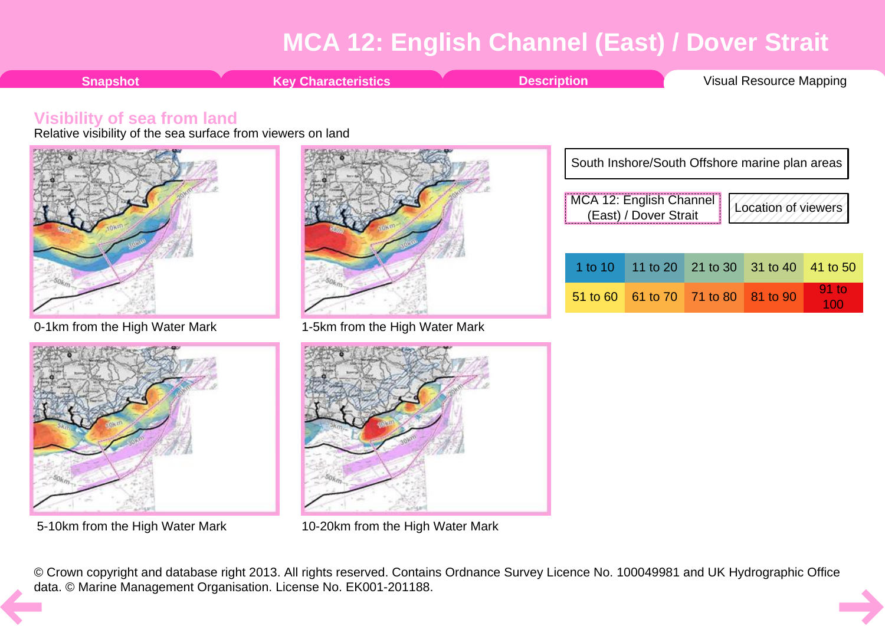100

<span id="page-7-0"></span>





5-10km from the High Water Mark 10-20km from the High Water Mark

© Crown copyright and database right 2013. All rights reserved. Contains Ordnance Survey Licence No. 100049981 and UK Hydrographic Office [da](#page-6-0)ta. © Marine Management Organisation. License No. EK001-201188.